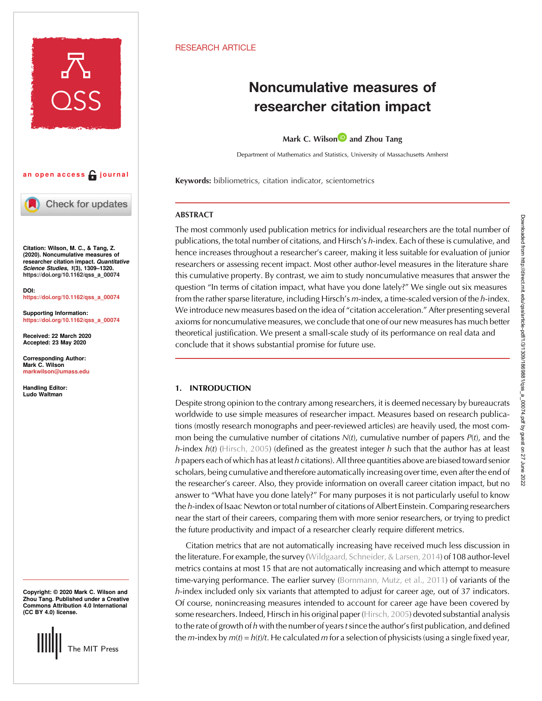

# an open access  $\bigcap$  journal



Check for updates

Citation: Wilson, M. C., & Tang, Z. (2020). Noncumulative measures of researcher citation impact. Quantitative Science Studies, 1(3), 1309–1320. [https://doi.org/10.1162/qss\\_a\\_00074](https://doi.org/10.1162/qss_a_00074)

DOI: [https://doi.org/10.1162/qss\\_a\\_00074](https://doi.org/10.1162/qss_a_00074)

Supporting Information: [https://doi.org/10.1162/qss\\_a\\_00074](https://doi.org/10.1162/qss_a_00074)

Received: 22 March 2020 Accepted: 23 May 2020

Corresponding Author: Mark C. Wilson [markwilson@umass.edu](mailto:markwilson@umass.edu)

Handling Editor: Ludo Waltman

Copyright: © 2020 Mark C. Wilson and Zhou Tang. Published under a Creative Commons Attribution 4.0 International (CC BY 4.0) license.



## **RESEARCH ARTICLE**

# Noncumulative measures of researcher citation impact

Mark C. Wilso[n](https://orcid.org/0000-0002-3343-7458)  $\blacksquare$  and Zhou Tang

Department of Mathematics and Statistics, University of Massachusetts Amherst

Keywords: bibliometrics, citation indicator, scientometrics

## ABSTRACT

The most commonly used publication metrics for individual researchers are the total number of publications, the total number of citations, and Hirsch's h-index. Each of these is cumulative, and hence increases throughout a researcher's career, making it less suitable for evaluation of junior researchers or assessing recent impact. Most other author-level measures in the literature share this cumulative property. By contrast, we aim to study noncumulative measures that answer the question "In terms of citation impact, what have you done lately?" We single out six measures from the rather sparse literature, including Hirsch's m-index, a time-scaled version of the h-index. We introduce new measures based on the idea of "citation acceleration." After presenting several axioms for noncumulative measures, we conclude that one of our new measures has much better theoretical justification. We present a small-scale study of its performance on real data and conclude that it shows substantial promise for future use.

## 1. INTRODUCTION

Despite strong opinion to the contrary among researchers, it is deemed necessary by bureaucrats worldwide to use simple measures of researcher impact. Measures based on research publications (mostly research monographs and peer-reviewed articles) are heavily used, the most common being the cumulative number of citations  $N(t)$ , cumulative number of papers  $P(t)$ , and the h-index  $h(t)$  ([Hirsch, 2005](#page-11-0)) (defined as the greatest integer h such that the author has at least  $h$  papers each of which has at least  $h$  citations). All three quantities above are biased toward senior scholars, being cumulative and therefore automatically increasing over time, even after the end of the researcher's career. Also, they provide information on overall career citation impact, but no answer to "What have you done lately?" For many purposes it is not particularly useful to know the h-index of Isaac Newton or total number of citations of Albert Einstein. Comparing researchers near the start of their careers, comparing them with more senior researchers, or trying to predict the future productivity and impact of a researcher clearly require different metrics.

Citation metrics that are not automatically increasing have received much less discussion in the literature. For example, the survey [\(Wildgaard, Schneider, & Larsen, 2014](#page-11-0)) of 108 author-level metrics contains at most 15 that are not automatically increasing and which attempt to measure time-varying performance. The earlier survey [\(Bornmann, Mutz, et al., 2011](#page-11-0)) of variants of the h-index included only six variants that attempted to adjust for career age, out of 37 indicators. Of course, nonincreasing measures intended to account for career age have been covered by some researchers. Indeed, Hirsch in his original paper [\(Hirsch, 2005](#page-11-0)) devoted substantial analysis to the rate of growth of h with the number of years t since the author's first publication, and defined the m-index by  $m(t) = h(t)/t$ . He calculated m for a selection of physicists (using a single fixed year,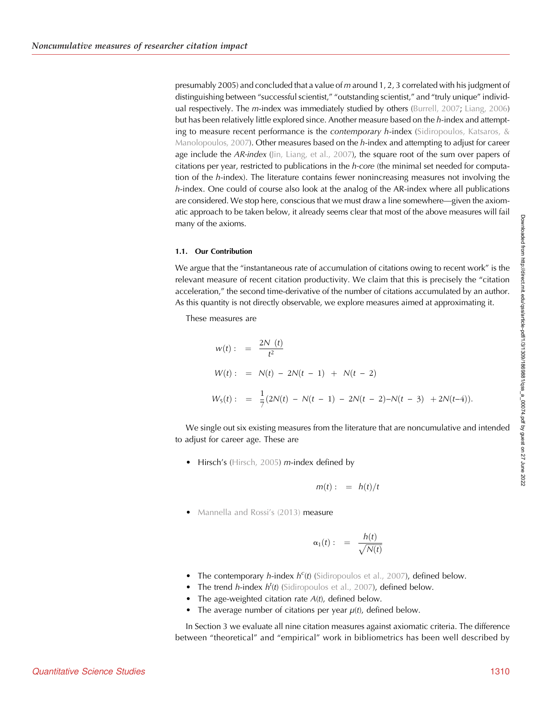presumably 2005) and concluded that a value of m around 1, 2, 3 correlated with his judgment of distinguishing between "successful scientist," "outstanding scientist," and "truly unique" individ-ual respectively. The m-index was immediately studied by others ([Burrell, 2007;](#page-11-0) [Liang, 2006](#page-11-0)) but has been relatively little explored since. Another measure based on the h-index and attempting to measure recent performance is the *contemporary h*-index (Sidiropoulos, Katsaros,  $\&$ [Manolopoulos, 2007\)](#page-11-0). Other measures based on the  $h$ -index and attempting to adjust for career age include the  $AR\text{-index (jin, Liang, et al., 2007), the square root of the sum over papers of$ citations per year, restricted to publications in the h-core (the minimal set needed for computation of the h-index). The literature contains fewer nonincreasing measures not involving the h-index. One could of course also look at the analog of the AR-index where all publications are considered. We stop here, conscious that we must draw a line somewhere—given the axiomatic approach to be taken below, it already seems clear that most of the above measures will fail many of the axioms.

## 1.1. Our Contribution

We argue that the "instantaneous rate of accumulation of citations owing to recent work" is the relevant measure of recent citation productivity. We claim that this is precisely the "citation acceleration," the second time-derivative of the number of citations accumulated by an author. As this quantity is not directly observable, we explore measures aimed at approximating it.

These measures are

$$
w(t) : = \frac{2N(t)}{t^2}
$$
  
\n
$$
W(t) : = N(t) - 2N(t - 1) + N(t - 2)
$$
  
\n
$$
W_5(t) : = \frac{1}{7}(2N(t) - N(t - 1) - 2N(t - 2) - N(t - 3) + 2N(t-4)).
$$

We single out six existing measures from the literature that are noncumulative and intended to adjust for career age. These are

• Hirsch's [\(Hirsch, 2005](#page-11-0)) m-index defined by

$$
m(t):=h(t)/t
$$

• [Mannella and Rossi](#page-11-0)'s (2013) measure

$$
\alpha_1(t) : = \frac{h(t)}{\sqrt{N(t)}}
$$

- The contemporary *h*-index  $h^c(t)$  ([Sidiropoulos et al., 2007](#page-11-0)), defined below.
- The trend *h*-index  $h^t(t)$  ([Sidiropoulos et al., 2007](#page-11-0)), defined below.
- The age-weighted citation rate  $A(t)$ , defined below.
- The average number of citations per year  $\mu(t)$ , defined below.

In Section 3 we evaluate all nine citation measures against axiomatic criteria. The difference between "theoretical" and "empirical" work in bibliometrics has been well described by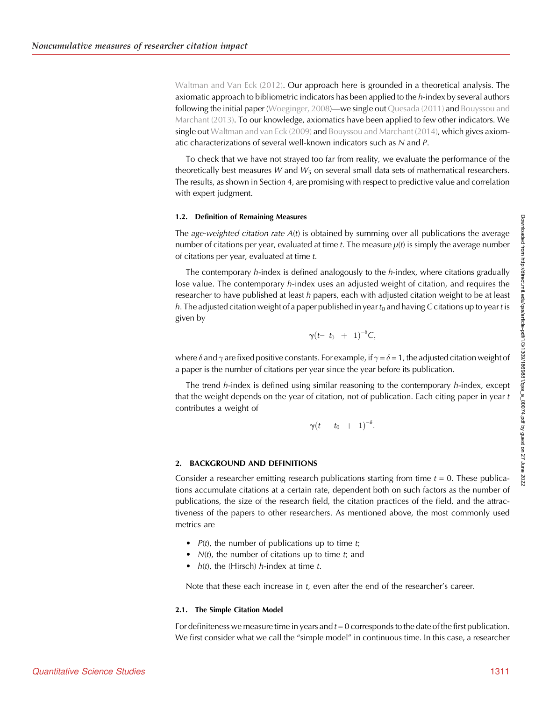[Waltman and Van Eck \(2012\).](#page-11-0) Our approach here is grounded in a theoretical analysis. The axiomatic approach to bibliometric indicators has been applied to the  $h$ -index by several authors following the initial paper [\(Woeginger, 2008\)](#page-11-0)—we single out [Quesada \(2011\)](#page-11-0) and [Bouyssou and](#page-11-0) [Marchant \(2013\)](#page-11-0). To our knowledge, axiomatics have been applied to few other indicators. We single out [Waltman and van Eck \(2009\)](#page-11-0) and [Bouyssou and Marchant \(2014\),](#page-11-0) which gives axiomatic characterizations of several well-known indicators such as N and P.

To check that we have not strayed too far from reality, we evaluate the performance of the theoretically best measures W and  $W_5$  on several small data sets of mathematical researchers. The results, as shown in Section 4, are promising with respect to predictive value and correlation with expert judgment.

## 1.2. Definition of Remaining Measures

The age-weighted citation rate  $A(t)$  is obtained by summing over all publications the average number of citations per year, evaluated at time t. The measure  $\mu(t)$  is simply the average number of citations per year, evaluated at time t.

The contemporary  $h$ -index is defined analogously to the  $h$ -index, where citations gradually lose value. The contemporary *h*-index uses an adjusted weight of citation, and requires the researcher to have published at least  $h$  papers, each with adjusted citation weight to be at least h. The adjusted citation weight of a paper published in year  $t_0$  and having C citations up to year t is given by

$$
\gamma(t-t_0 + 1)^{-\delta}C,
$$

where  $\delta$  and  $\gamma$  are fixed positive constants. For example, if  $\gamma$  =  $\delta$  = 1, the adjusted citation weight of a paper is the number of citations per year since the year before its publication.

The trend  $h$ -index is defined using similar reasoning to the contemporary  $h$ -index, except that the weight depends on the year of citation, not of publication. Each citing paper in year  $t$ contributes a weight of

$$
\gamma(t - t_0 + 1)^{-\delta}.
$$

## 2. BACKGROUND AND DEFINITIONS

Consider a researcher emitting research publications starting from time  $t = 0$ . These publications accumulate citations at a certain rate, dependent both on such factors as the number of publications, the size of the research field, the citation practices of the field, and the attractiveness of the papers to other researchers. As mentioned above, the most commonly used metrics are

- $P(t)$ , the number of publications up to time t;
- $N(t)$ , the number of citations up to time  $t$ ; and
- $h(t)$ , the (Hirsch) h-index at time t.

Note that these each increase in t, even after the end of the researcher's career.

## 2.1. The Simple Citation Model

For definiteness we measure time in years and  $t = 0$  corresponds to the date of the first publication. We first consider what we call the "simple model" in continuous time. In this case, a researcher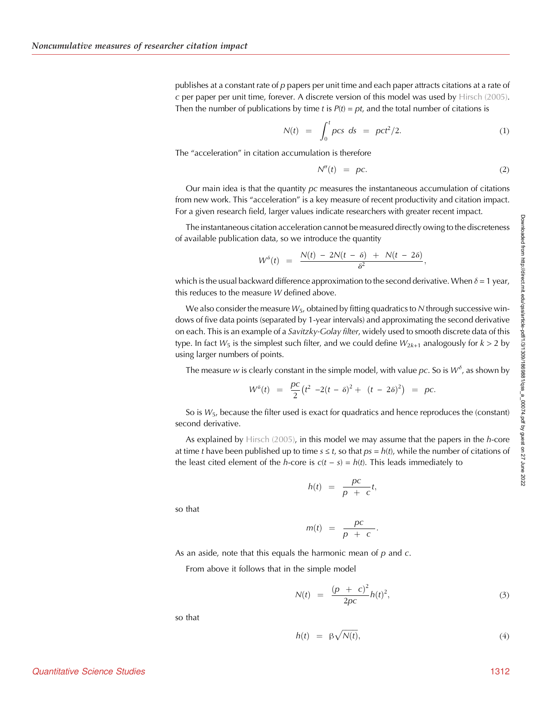publishes at a constant rate of  $p$  papers per unit time and each paper attracts citations at a rate of c per paper per unit time, forever. A discrete version of this model was used by [Hirsch \(2005\)](#page-11-0). Then the number of publications by time t is  $P(t) = pt$ , and the total number of citations is

$$
N(t) = \int_0^t \rho c s \, ds = \rho c t^2 / 2. \tag{1}
$$

The "acceleration" in citation accumulation is therefore

$$
N''(t) = pc. \t\t(2)
$$

Our main idea is that the quantity  $pc$  measures the instantaneous accumulation of citations from new work. This "acceleration" is a key measure of recent productivity and citation impact. For a given research field, larger values indicate researchers with greater recent impact.

The instantaneous citation acceleration cannot be measured directly owing to the discreteness of available publication data, so we introduce the quantity

$$
W^{\delta}(t) = \frac{N(t) - 2N(t-\delta) + N(t-2\delta)}{\delta^2},
$$

which is the usual backward difference approximation to the second derivative. When  $\delta$  = 1 year, this reduces to the measure W defined above.

We also consider the measure  $W_5$ , obtained by fitting quadratics to N through successive windows of five data points (separated by 1-year intervals) and approximating the second derivative on each. This is an example of a *Savitzky-Golay filter*, widely used to smooth discrete data of this type. In fact  $W_5$  is the simplest such filter, and we could define  $W_{2k+1}$  analogously for  $k > 2$  by using larger numbers of points.

The measure w is clearly constant in the simple model, with value pc. So is  $W^{\delta}$ , as shown by

$$
W^{\delta}(t) = \frac{p c}{2} (t^2 - 2(t - \delta)^2 + (t - 2\delta)^2) = p c.
$$

So is  $W_5$ , because the filter used is exact for quadratics and hence reproduces the (constant) second derivative.

As explained by [Hirsch \(2005\)](#page-11-0), in this model we may assume that the papers in the  $h$ -core at time t have been published up to time  $s \le t$ , so that  $ps = h(t)$ , while the number of citations of the least cited element of the *h*-core is  $c(t - s) = h(t)$ . This leads immediately to

$$
h(t) = \frac{pc}{p + c}t,
$$

so that

$$
m(t) = \frac{pc}{p + c}.
$$

As an aside, note that this equals the harmonic mean of  $p$  and  $c$ .

From above it follows that in the simple model

$$
N(t) = \frac{(p + c)^2}{2pc} h(t)^2,
$$
\n(3)

so that

$$
h(t) = \beta \sqrt{N(t)}, \tag{4}
$$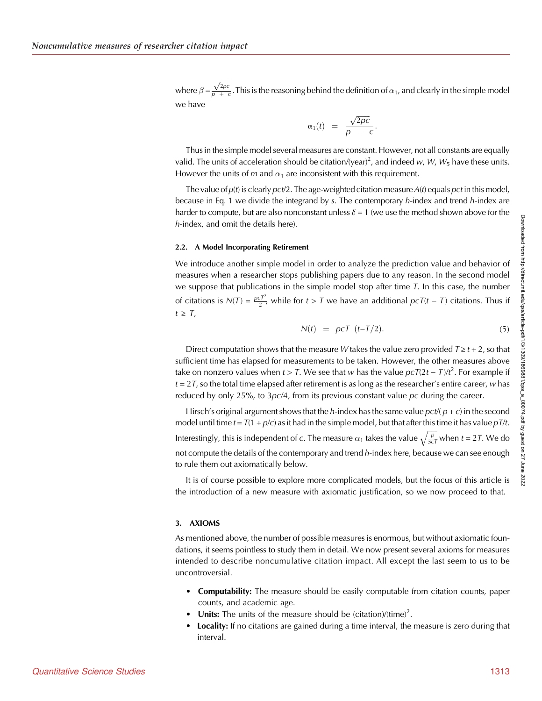where  $\beta = \frac{\sqrt{2pc}}{p + a}$  $\frac{\sqrt{2\pi c}}{p}$ . This is the reasoning behind the definition of  $\alpha_1$ , and clearly in the simple model we have

$$
\alpha_1(t) = \frac{\sqrt{2pc}}{p + c}.
$$

Thus in the simple model several measures are constant. However, not all constants are equally valid. The units of acceleration should be citation/(year)<sup>2</sup>, and indeed w, W, W<sub>5</sub> have these units. However the units of m and  $\alpha_1$  are inconsistent with this requirement.

The value of  $\mu(t)$  is clearly pct/2. The age-weighted citation measure  $A(t)$  equals pct in this model, because in Eq. 1 we divide the integrand by  $s$ . The contemporary  $h$ -index and trend  $h$ -index are harder to compute, but are also nonconstant unless  $\delta$  = 1 (we use the method shown above for the h-index, and omit the details here).

#### 2.2. A Model Incorporating Retirement

We introduce another simple model in order to analyze the prediction value and behavior of measures when a researcher stops publishing papers due to any reason. In the second model we suppose that publications in the simple model stop after time  $T$ . In this case, the number of citations is  $N(T) = \frac{\rho c T^2}{2}$ , while for  $t > T$  we have an additional  $\rho cT(t - T)$  citations. Thus if  $t \geq T$ .

$$
N(t) = p c T \t(t-T/2). \t(5)
$$

Direct computation shows that the measure W takes the value zero provided  $T \ge t + 2$ , so that sufficient time has elapsed for measurements to be taken. However, the other measures above take on nonzero values when  $t > 7$ . We see that w has the value  $p c T (2t - T) / t^2$ . For example if  $t = 2T$ , so the total time elapsed after retirement is as long as the researcher's entire career, w has reduced by only 25%, to  $3pc/4$ , from its previous constant value pc during the career.

Hirsch's original argument shows that the h-index has the same value  $pct/(p+c)$  in the second model until time  $t = T(1 + p/c)$  as it had in the simple model, but that after this time it has value  $pT/t$ . Interestingly, this is independent of c. The measure  $\alpha_1$  takes the value  $\sqrt{\frac{p}{3cT}}$  when  $t = 2T$ . We do not compute the details of the contemporary and trend h-index here, because we can see enough to rule them out axiomatically below.

It is of course possible to explore more complicated models, but the focus of this article is the introduction of a new measure with axiomatic justification, so we now proceed to that.

#### 3. AXIOMS

As mentioned above, the number of possible measures is enormous, but without axiomatic foundations, it seems pointless to study them in detail. We now present several axioms for measures intended to describe noncumulative citation impact. All except the last seem to us to be uncontroversial.

- Computability: The measure should be easily computable from citation counts, paper counts, and academic age.
- Units: The units of the measure should be (citation)/(time)<sup>2</sup>.
- **Locality:** If no citations are gained during a time interval, the measure is zero during that interval.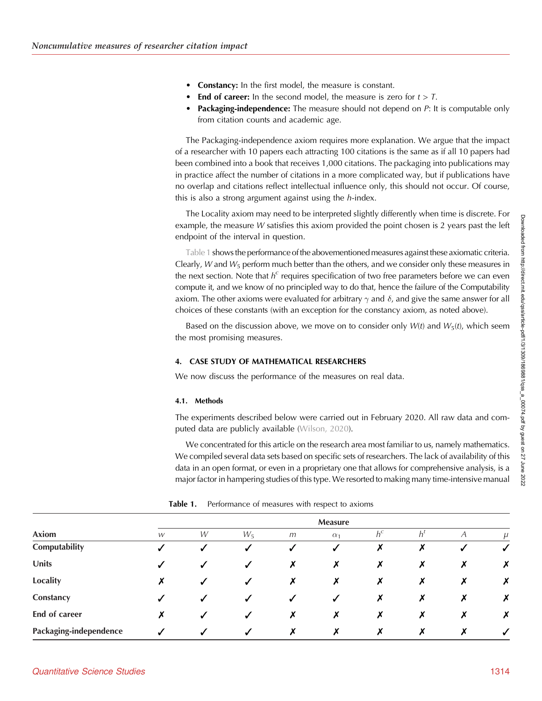- **Constancy:** In the first model, the measure is constant.
- **End of career:** In the second model, the measure is zero for  $t > T$ .
- **Packaging-independence:** The measure should not depend on P: It is computable only from citation counts and academic age.

The Packaging-independence axiom requires more explanation. We argue that the impact of a researcher with 10 papers each attracting 100 citations is the same as if all 10 papers had been combined into a book that receives 1,000 citations. The packaging into publications may in practice affect the number of citations in a more complicated way, but if publications have no overlap and citations reflect intellectual influence only, this should not occur. Of course, this is also a strong argument against using the *h*-index.

The Locality axiom may need to be interpreted slightly differently when time is discrete. For example, the measure W satisfies this axiom provided the point chosen is 2 years past the left endpoint of the interval in question.

Table 1 shows the performance of the abovementioned measures against these axiomatic criteria. Clearly, W and  $W_5$  perform much better than the others, and we consider only these measures in the next section. Note that  $h^c$  requires specification of two free parameters before we can even compute it, and we know of no principled way to do that, hence the failure of the Computability axiom. The other axioms were evaluated for arbitrary  $\gamma$  and  $\delta$ , and give the same answer for all choices of these constants (with an exception for the constancy axiom, as noted above).

Based on the discussion above, we move on to consider only  $W(t)$  and  $W_5(t)$ , which seem the most promising measures.

## 4. CASE STUDY OF MATHEMATICAL RESEARCHERS

We now discuss the performance of the measures on real data.

## 4.1. Methods

The experiments described below were carried out in February 2020. All raw data and computed data are publicly available ([Wilson, 2020\)](#page-11-0).

We concentrated for this article on the research area most familiar to us, namely mathematics. We compiled several data sets based on specific sets of researchers. The lack of availability of this data in an open format, or even in a proprietary one that allows for comprehensive analysis, is a major factor in hampering studies of this type. We resorted to making many time-intensive manual

| Axiom                  | <b>Measure</b> |   |                  |   |                  |                           |             |   |              |  |
|------------------------|----------------|---|------------------|---|------------------|---------------------------|-------------|---|--------------|--|
|                        | W              | W | $W_5$            | m | $\alpha_1$       | $h^c$                     | $h^{\iota}$ |   |              |  |
| Computability          | √              | √ | ✓                | ✓ | $\boldsymbol{J}$ | X                         | Х           | ✔ | $\checkmark$ |  |
| Units                  | √              | ✔ | ✓                | Х | Х                | X                         | Х           | Х | X            |  |
| <b>Locality</b>        | Х              | ✔ | $\sqrt{ }$       | X | Х                | Х                         | Х           | Х | X            |  |
| Constancy              | ✓              | ✔ | ✓                | ✓ | ✓                | Х                         | Х           | X | X            |  |
| End of career          | X              | ✔ | $\boldsymbol{J}$ | Х | Х                | $\boldsymbol{\mathsf{x}}$ | Х           | Х | ↗            |  |
| Packaging-independence |                | J | ✔                | х | х                | Х                         | х           | × | ✓            |  |

**Table 1.** Performance of measures with respect to axioms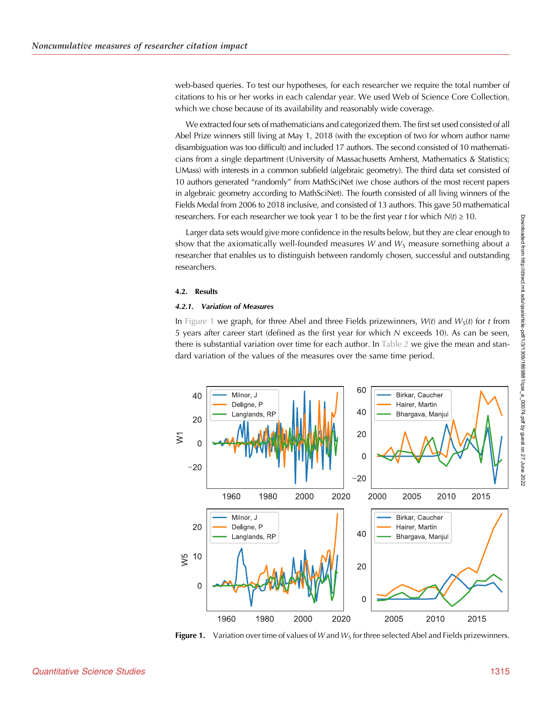web-based queries. To test our hypotheses, for each researcher we require the total number of citations to his or her works in each calendar year. We used Web of Science Core Collection, which we chose because of its availability and reasonably wide coverage.

We extracted four sets of mathematicians and categorized them. The first set used consisted of all Abel Prize winners still living at May 1, 2018 (with the exception of two for whom author name disambiguation was too difficult) and included 17 authors. The second consisted of 10 mathematicians from a single department (University of Massachusetts Amherst, Mathematics & Statistics; UMass) with interests in a common subfield (algebraic geometry). The third data set consisted of 10 authors generated "randomly" from MathSciNet (we chose authors of the most recent papers in algebraic geometry according to MathSciNet). The fourth consisted of all living winners of the Fields Medal from 2006 to 2018 inclusive, and consisted of 13 authors. This gave 50 mathematical researchers. For each researcher we took year 1 to be the first year t for which  $N(t) \ge 10$ .

Larger data sets would give more confidence in the results below, but they are clear enough to show that the axiomatically well-founded measures  $W$  and  $W_5$  measure something about a researcher that enables us to distinguish between randomly chosen, successful and outstanding researchers.

#### 4.2. Results

## 4.2.1. Variation of Measures

In Figure 1 we graph, for three Abel and three Fields prizewinners,  $W(t)$  and  $W_5(t)$  for t from 5 years after career start (defined as the first year for which N exceeds 10). As can be seen, there is substantial variation over time for each author. In [Table 2](#page-7-0) we give the mean and standard variation of the values of the measures over the same time period.



Figure 1. Variation over time of values of W and  $W_5$  for three selected Abel and Fields prizewinners.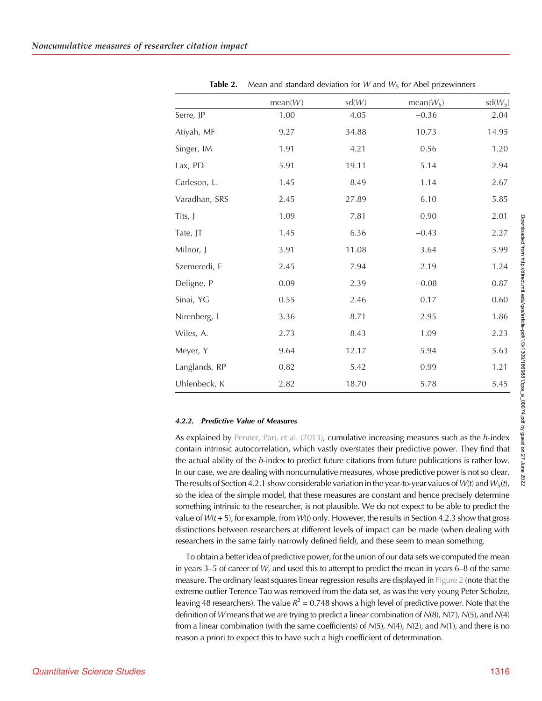<span id="page-7-0"></span>

|               | mean(W) | sd(W) | $mean(W_5)$ | $sd(W_5)$ |
|---------------|---------|-------|-------------|-----------|
| Serre, JP     | 1.00    | 4.05  | $-0.36$     | 2.04      |
| Atiyah, MF    | 9.27    | 34.88 | 10.73       | 14.95     |
| Singer, IM    | 1.91    | 4.21  | 0.56        | 1.20      |
| Lax, PD       | 5.91    | 19.11 | 5.14        | 2.94      |
| Carleson, L.  | 1.45    | 8.49  | 1.14        | 2.67      |
| Varadhan, SRS | 2.45    | 27.89 | 6.10        | 5.85      |
| Tits, J       | 1.09    | 7.81  | 0.90        | 2.01      |
| Tate, JT      | 1.45    | 6.36  | $-0.43$     | 2.27      |
| Milnor, J     | 3.91    | 11.08 | 3.64        | 5.99      |
| Szemeredi, E  | 2.45    | 7.94  | 2.19        | 1.24      |
| Deligne, P    | 0.09    | 2.39  | $-0.08$     | 0.87      |
| Sinai, YG     | 0.55    | 2.46  | 0.17        | $0.60\,$  |
| Nirenberg, L  | 3.36    | 8.71  | 2.95        | 1.86      |
| Wiles, A.     | 2.73    | 8.43  | 1.09        | 2.23      |
| Meyer, Y      | 9.64    | 12.17 | 5.94        | 5.63      |
| Langlands, RP | 0.82    | 5.42  | 0.99        | 1.21      |
| Uhlenbeck, K  | 2.82    | 18.70 | 5.78        | 5.45      |

**Table 2.** Mean and standard deviation for W and  $W_5$  for Abel prizewinners

## 4.2.2. Predictive Value of Measures

As explained by Penner, Pan, et al.  $(2013)$ , cumulative increasing measures such as the h-index contain intrinsic autocorrelation, which vastly overstates their predictive power. They find that the actual ability of the h-index to predict future citations from future publications is rather low. In our case, we are dealing with noncumulative measures, whose predictive power is not so clear. The results of Section 4.2.1 show considerable variation in the year-to-year values of  $W(t)$  and  $W_5(t)$ , so the idea of the simple model, that these measures are constant and hence precisely determine something intrinsic to the researcher, is not plausible. We do not expect to be able to predict the value of  $W(t + 5)$ , for example, from  $W(t)$  only. However, the results in Section 4.2.3 show that gross distinctions between researchers at different levels of impact can be made (when dealing with researchers in the same fairly narrowly defined field), and these seem to mean something.

To obtain a better idea of predictive power, for the union of our data sets we computed the mean in years 3–5 of career of W, and used this to attempt to predict the mean in years 6–8 of the same measure. The ordinary least squares linear regression results are displayed in [Figure 2](#page-8-0) (note that the extreme outlier Terence Tao was removed from the data set, as was the very young Peter Scholze, leaving 48 researchers). The value  $R^2 = 0.748$  shows a high level of predictive power. Note that the definition of W means that we are trying to predict a linear combination of  $N(8)$ ,  $N(7)$ ,  $N(5)$ , and  $N(4)$ from a linear combination (with the same coefficients) of  $N(5)$ ,  $N(4)$ ,  $N(2)$ , and  $N(1)$ , and there is no reason a priori to expect this to have such a high coefficient of determination.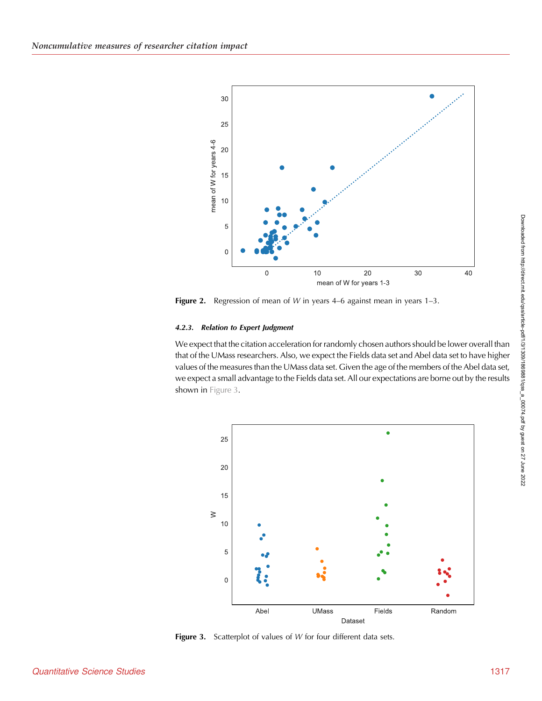<span id="page-8-0"></span>

**Figure 2.** Regression of mean of W in years 4–6 against mean in years  $1-3$ .

## 4.2.3. Relation to Expert Judgment

We expect that the citation acceleration for randomly chosen authors should be lower overall than that of the UMass researchers. Also, we expect the Fields data set and Abel data set to have higher values of the measures than the UMass data set. Given the age of the members of the Abel data set, we expect a small advantage to the Fields data set. All our expectations are borne out by the results shown in Figure 3.



Figure 3. Scatterplot of values of W for four different data sets.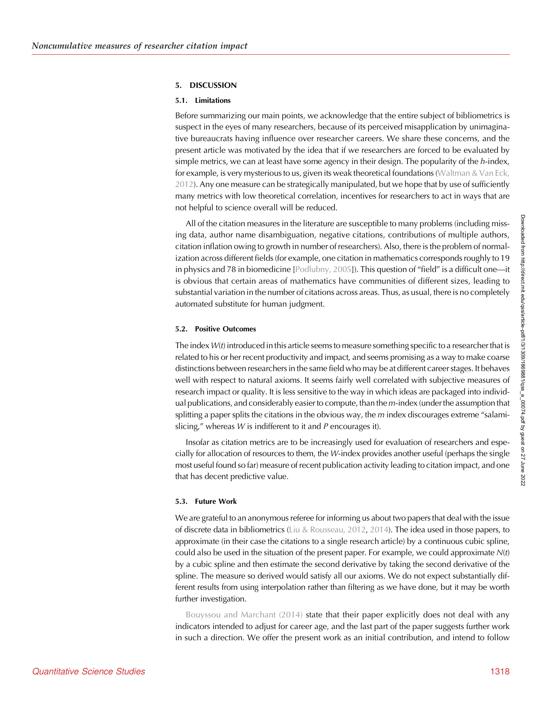#### 5. DISCUSSION

#### 5.1. Limitations

Before summarizing our main points, we acknowledge that the entire subject of bibliometrics is suspect in the eyes of many researchers, because of its perceived misapplication by unimaginative bureaucrats having influence over researcher careers. We share these concerns, and the present article was motivated by the idea that if we researchers are forced to be evaluated by simple metrics, we can at least have some agency in their design. The popularity of the  $h$ -index, for example, is very mysterious to us, given its weak theoretical foundations ([Waltman & Van Eck,](#page-11-0) [2012\)](#page-11-0). Any one measure can be strategically manipulated, but we hope that by use of sufficiently many metrics with low theoretical correlation, incentives for researchers to act in ways that are not helpful to science overall will be reduced.

All of the citation measures in the literature are susceptible to many problems (including missing data, author name disambiguation, negative citations, contributions of multiple authors, citation inflation owing to growth in number of researchers). Also, there is the problem of normalization across different fields (for example, one citation in mathematics corresponds roughly to 19 in physics and 78 in biomedicine [[Podlubny, 2005](#page-11-0)]). This question of "field" is a difficult one—it is obvious that certain areas of mathematics have communities of different sizes, leading to substantial variation in the number of citations across areas. Thus, as usual, there is no completely automated substitute for human judgment.

#### 5.2. Positive Outcomes

The index  $W(t)$  introduced in this article seems to measure something specific to a researcher that is related to his or her recent productivity and impact, and seems promising as a way to make coarse distinctions between researchers in the same field who may be at different career stages. It behaves well with respect to natural axioms. It seems fairly well correlated with subjective measures of research impact or quality. It is less sensitive to the way in which ideas are packaged into individual publications, and considerably easier to compute, than the m-index (under the assumption that splitting a paper splits the citations in the obvious way, the  $m$  index discourages extreme "salamislicing," whereas  $W$  is indifferent to it and  $P$  encourages it).

Insofar as citation metrics are to be increasingly used for evaluation of researchers and especially for allocation of resources to them, the  $W$ -index provides another useful (perhaps the single most useful found so far) measure of recent publication activity leading to citation impact, and one that has decent predictive value.

#### 5.3. Future Work

We are grateful to an anonymous referee for informing us about two papers that deal with the issue of discrete data in bibliometrics ([Liu & Rousseau, 2012](#page-11-0), [2014\)](#page-11-0). The idea used in those papers, to approximate (in their case the citations to a single research article) by a continuous cubic spline, could also be used in the situation of the present paper. For example, we could approximate  $N(t)$ by a cubic spline and then estimate the second derivative by taking the second derivative of the spline. The measure so derived would satisfy all our axioms. We do not expect substantially different results from using interpolation rather than filtering as we have done, but it may be worth further investigation.

[Bouyssou and Marchant \(2014\)](#page-11-0) state that their paper explicitly does not deal with any indicators intended to adjust for career age, and the last part of the paper suggests further work in such a direction. We offer the present work as an initial contribution, and intend to follow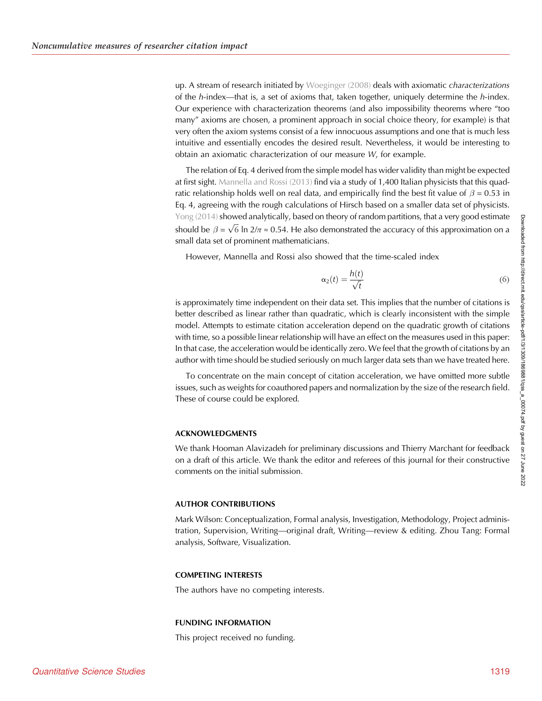up. A stream of research initiated by [Woeginger \(2008\)](#page-11-0) deals with axiomatic characterizations of the h-index—that is, a set of axioms that, taken together, uniquely determine the h-index. Our experience with characterization theorems (and also impossibility theorems where "too many" axioms are chosen, a prominent approach in social choice theory, for example) is that very often the axiom systems consist of a few innocuous assumptions and one that is much less intuitive and essentially encodes the desired result. Nevertheless, it would be interesting to obtain an axiomatic characterization of our measure W, for example.

The relation of Eq. 4 derived from the simple model has wider validity than might be expected at first sight. [Mannella and Rossi \(2013\)](#page-11-0) find via a study of 1,400 Italian physicists that this quadratic relationship holds well on real data, and empirically find the best fit value of  $\beta = 0.53$  in Eq. 4, agreeing with the rough calculations of Hirsch based on a smaller data set of physicists. [Yong \(2014\)](#page-11-0) showed analytically, based on theory of random partitions, that a very good estimate should be  $\beta = \sqrt{6}$  ln 2/ $\pi \approx 0.54$ . He also demonstrated the accuracy of this approximation on a small data set of prominent mathematicians.

However, Mannella and Rossi also showed that the time-scaled index

$$
\alpha_2(t) = \frac{h(t)}{\sqrt{t}}\tag{6}
$$

is approximately time independent on their data set. This implies that the number of citations is better described as linear rather than quadratic, which is clearly inconsistent with the simple model. Attempts to estimate citation acceleration depend on the quadratic growth of citations with time, so a possible linear relationship will have an effect on the measures used in this paper: In that case, the acceleration would be identically zero. We feel that the growth of citations by an author with time should be studied seriously on much larger data sets than we have treated here.

To concentrate on the main concept of citation acceleration, we have omitted more subtle issues, such as weights for coauthored papers and normalization by the size of the research field. These of course could be explored.

## ACKNOWLEDGMENTS

We thank Hooman Alavizadeh for preliminary discussions and Thierry Marchant for feedback on a draft of this article. We thank the editor and referees of this journal for their constructive comments on the initial submission.

#### AUTHOR CONTRIBUTIONS

Mark Wilson: Conceptualization, Formal analysis, Investigation, Methodology, Project administration, Supervision, Writing—original draft, Writing—review & editing. Zhou Tang: Formal analysis, Software, Visualization.

#### COMPETING INTERESTS

The authors have no competing interests.

#### FUNDING INFORMATION

This project received no funding.